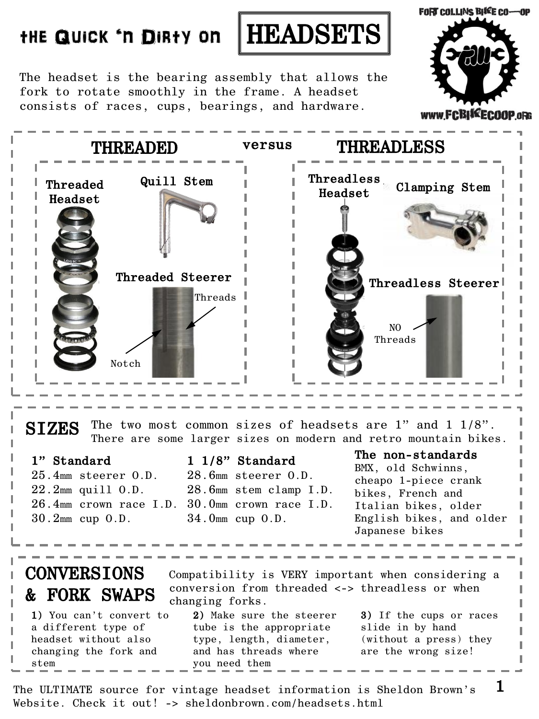## the Quick 'n Dirty on HEADSETS



The headset is the bearing assembly that allows the fork to rotate smoothly in the frame. A headset consists of races, cups, bearings, and hardware.



THREADED versus THREADLESS Threaded Headset Quill Stem Threaded Steerer Threadless Headset Clamping Stem Threadless Steerer Threads I Notch NO Threads SIZES The two most common sizes of headsets are 1" and 1 1/8". There are some larger sizes on modern and retro mountain bikes. 1" Standard 25.4mm steerer O.D. 22.2mm quill O.D. 26.4mm crown race I.D. 30.0mm crown race I.D. 30.2mm cup O.D. 1 1/8" Standard 28.6mm steerer O.D. 28.6mm stem clamp I.D. 34.0mm cup O.D. The non-standards BMX, old Schwinns, cheapo 1-piece crank bikes, French and Italian bikes, older English bikes, and older Japanese bikes CONVERSIONS & FORK SWAPS Compatibility is VERY important when considering a conversion from threaded <-> threadless or when changing forks. 1) You can't convert to 2) Make sure the steerer 3) If the cups or races

a different type of headset without also changing the fork and stem

tube is the appropriate type, length, diameter, and has threads where you need them

slide in by hand (without a press) they are the wrong size!

1

The ULTIMATE source for vintage headset information is Sheldon Brown's Website. Check it out! -> sheldonbrown.com/headsets.html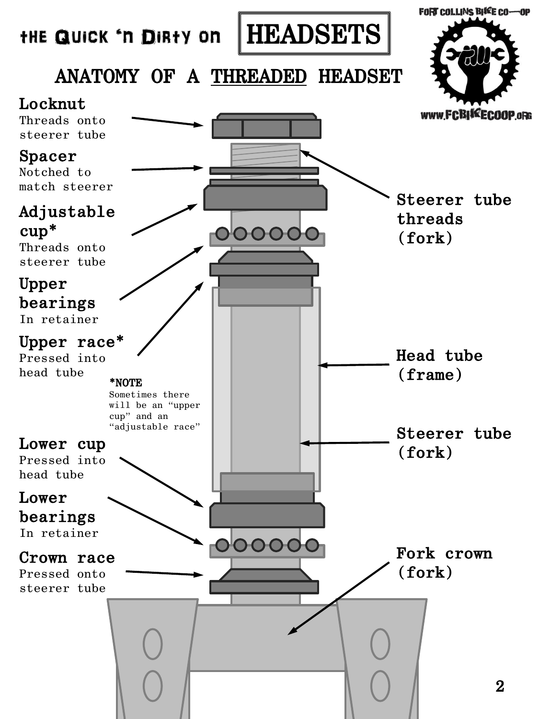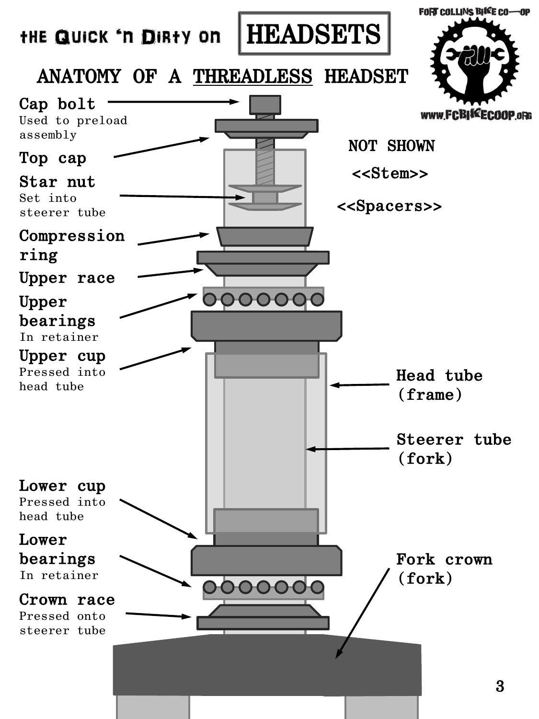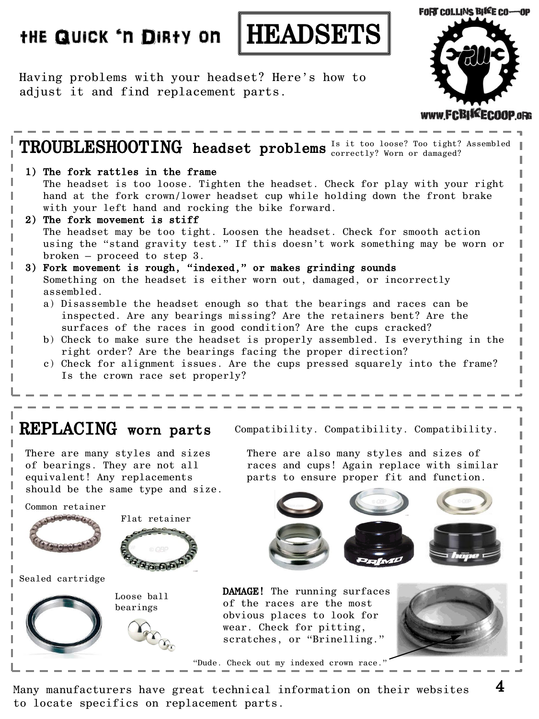## the Quick 'n Dirty on HEADSETS



Having problems with your headset? Here's how to adjust it and find replacement parts.



4

## ${\bf TROUBLES H OOTING\ }$  headset problems  $1\text{s}$  it too loose? Too tight? Assembled REPLACING worn parts Compatibility. Compatibility. Compatibility. correctly? Worn or damaged? 1) The fork rattles in the frame The headset is too loose. Tighten the headset. Check for play with your right hand at the fork crown/lower headset cup while holding down the front brake with your left hand and rocking the bike forward. 2) The fork movement is stiff The headset may be too tight. Loosen the headset. Check for smooth action using the "stand gravity test." If this doesn't work something may be worn or broken – proceed to step 3. 3) Fork movement is rough, "indexed," or makes grinding sounds Something on the headset is either worn out, damaged, or incorrectly assembled. a) Disassemble the headset enough so that the bearings and races can be inspected. Are any bearings missing? Are the retainers bent? Are the surfaces of the races in good condition? Are the cups cracked? b) Check to make sure the headset is properly assembled. Is everything in the right order? Are the bearings facing the proper direction? c) Check for alignment issues. Are the cups pressed squarely into the frame? Is the crown race set properly? There are many styles and sizes of bearings. They are not all equivalent! Any replacements should be the same type and size. Sealed cartridge Common retainer Flat retainer Loose ball bearings There are also many styles and sizes of races and cups! Again replace with similar parts to ensure proper fit and function. DAMAGE! The running surfaces of the races are the most obvious places to look for wear. Check for pitting, scratches, or "Brinelling." "Dude. Check out my indexed crown race.

Many manufacturers have great technical information on their websites to locate specifics on replacement parts.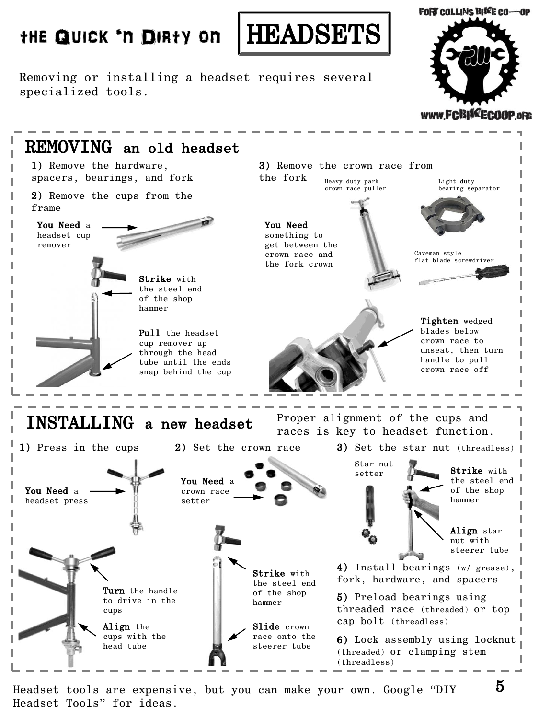## the Quick 'n Dirty on HEADSETS

**FORT COLLINS BIKE CO-OP** 

www.FCBIKECOOP.oRG

Removing or installing a headset requires several specialized tools.



Headset tools are expensive, but you can make your own. Google "DIY Headset Tools" for ideas.